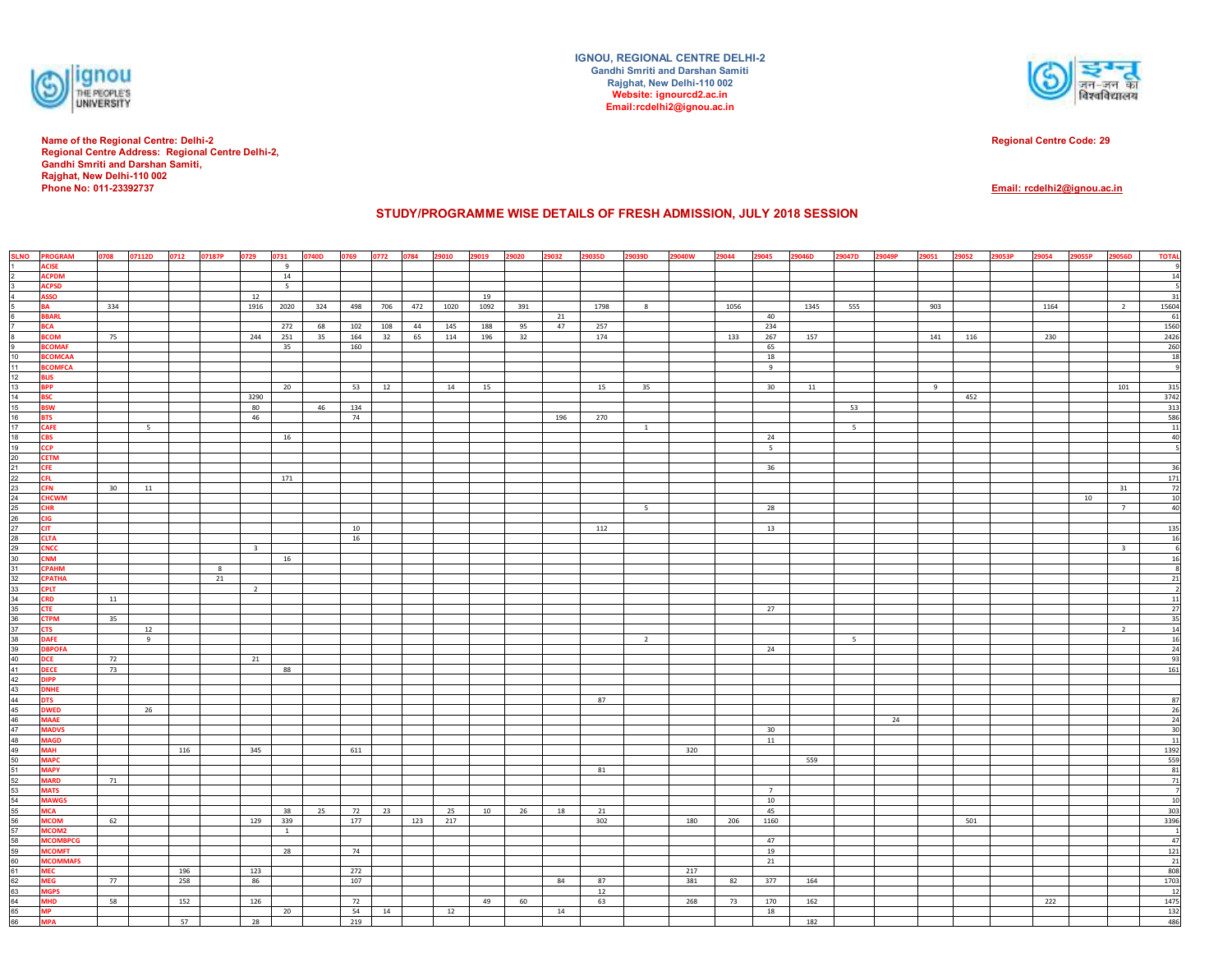

**Name of the Regional Centre: Delhi-2 Regional Centre Address: Regional Centre Delhi-2, Gandhi Smriti and Darshan Samiti, Rajghat, New Delhi-110 002Phone No: 011-23392737**

**IGNOU, REGIONAL CENTRE DELHI-2Gandhi Smriti and Darshan SamitiRajghat, New Delhi-110 002 Website: ignourcd2.ac.inEmail:rcdelhi2@ignou.ac.in**



**Regional Centre Code: 29**

**Email: rcdelhi2@ignou.ac.in**

## **STUDY/PROGRAMME WISE DETAILS OF FRESH ADMISSION, JULY 2018 SESSION**

|                                                                      | <b>SLNO PROGRAM</b>              | 0708 | 07112D | 0712 07187P |    | 0729                    | 0731         | 0740D | 0769 0772 0784 |       |         | 29010 | 29019 | 29020 | 29032 | 29035D | 29039D         | 29040W | 29044 | 29045                | 29046D | 29047D          | 29049P | 29051 | 29052 | 29053P | 29054 | 29055P | 29056D                  | <b>TOTAL</b>                                                                                                                                                     |
|----------------------------------------------------------------------|----------------------------------|------|--------|-------------|----|-------------------------|--------------|-------|----------------|-------|---------|-------|-------|-------|-------|--------|----------------|--------|-------|----------------------|--------|-----------------|--------|-------|-------|--------|-------|--------|-------------------------|------------------------------------------------------------------------------------------------------------------------------------------------------------------|
|                                                                      | <b>ACISE</b>                     |      |        |             |    |                         | 9            |       |                |       |         |       |       |       |       |        |                |        |       |                      |        |                 |        |       |       |        |       |        |                         |                                                                                                                                                                  |
|                                                                      | <b>ACPDM</b>                     |      |        |             |    |                         | 14           |       |                |       |         |       |       |       |       |        |                |        |       |                      |        |                 |        |       |       |        |       |        |                         | 14                                                                                                                                                               |
| 3                                                                    | <b>ACPSD</b>                     |      |        |             |    |                         | $5 -$        |       |                |       |         |       |       |       |       |        |                |        |       |                      |        |                 |        |       |       |        |       |        |                         |                                                                                                                                                                  |
|                                                                      | <b>ASSO</b>                      |      |        |             |    | 12                      |              |       |                |       |         |       | 19    |       |       |        |                |        |       |                      |        |                 |        |       |       |        |       |        |                         | 31                                                                                                                                                               |
|                                                                      | <b>BA</b>                        | 334  |        |             |    | 1916                    | 2020         | 324   | 498            |       | 706 472 | 1020  | 1092  | 391   |       | 1798   | 8              |        | 1056  |                      | 1345   | 555             |        | 903   |       |        | 1164  |        | $\overline{2}$          | 15604                                                                                                                                                            |
|                                                                      | <b>BBARL</b>                     |      |        |             |    |                         |              |       |                |       |         |       |       |       | 21    |        |                |        |       | 40                   |        |                 |        |       |       |        |       |        |                         |                                                                                                                                                                  |
|                                                                      | <b>BCA</b>                       |      |        |             |    |                         | 272          | 68    | 102            | 108   | 44      | 145   | 188   | 95    | 47    | 257    |                |        |       | 234                  |        |                 |        |       |       |        |       |        |                         | $\frac{61}{1560}$                                                                                                                                                |
| 8<br> a                                                              | <b>BCOM</b>                      | 75   |        |             |    | 244                     | 251          | 35    | 164            | 32 65 |         | 114   | 196   | 32    |       | 174    |                |        | 133   | 267                  | 157    |                 |        | 141   | 116   |        | 230   |        |                         | 2426                                                                                                                                                             |
|                                                                      | <b>BCOMAF</b>                    |      |        |             |    |                         | 35           |       | 160            |       |         |       |       |       |       |        |                |        |       | 65                   |        |                 |        |       |       |        |       |        |                         | $\frac{260}{18}$                                                                                                                                                 |
| 10                                                                   | <b>BCOMCAA</b>                   |      |        |             |    |                         |              |       |                |       |         |       |       |       |       |        |                |        |       | 18                   |        |                 |        |       |       |        |       |        |                         |                                                                                                                                                                  |
| $\frac{11}{12}$ $\frac{12}{13}$                                      | <b>BCOMFCA</b>                   |      |        |             |    |                         |              |       |                |       |         |       |       |       |       |        |                |        |       | 9                    |        |                 |        |       |       |        |       |        |                         |                                                                                                                                                                  |
|                                                                      | <b>BLIS</b>                      |      |        |             |    |                         |              |       |                |       |         |       |       |       |       |        |                |        |       |                      |        |                 |        |       |       |        |       |        |                         |                                                                                                                                                                  |
|                                                                      | <b>BPP</b>                       |      |        |             |    |                         | 20           |       | 53             | 12    |         | 14    | 15    |       |       | 15     | 35             |        |       | 30                   | 11     |                 |        | 9     |       |        |       |        | 101                     | 315                                                                                                                                                              |
| 14                                                                   | <b>BSC</b>                       |      |        |             |    | 3290                    |              |       |                |       |         |       |       |       |       |        |                |        |       |                      |        |                 |        |       | 452   |        |       |        |                         | 3742                                                                                                                                                             |
|                                                                      | <b>BSW</b>                       |      |        |             |    | 80                      |              | 46    | 134            |       |         |       |       |       |       |        |                |        |       |                      |        | 53              |        |       |       |        |       |        |                         | $\begin{array}{r} 313 \\ 586 \\ 11 \end{array}$                                                                                                                  |
|                                                                      | <b>BTS</b>                       |      |        |             |    | 46                      |              |       | 74             |       |         |       |       |       | 196   | 270    |                |        |       |                      |        |                 |        |       |       |        |       |        |                         |                                                                                                                                                                  |
|                                                                      | <b>CAFE</b>                      |      | $5 -$  |             |    |                         |              |       |                |       |         |       |       |       |       |        | $\mathbf{1}$   |        |       |                      |        | 5 <sub>1</sub>  |        |       |       |        |       |        |                         |                                                                                                                                                                  |
| $\frac{15}{16}$ $\frac{17}{18}$ $\frac{18}{19}$                      | <b>CBS</b><br><b>CCP</b>         |      |        |             |    |                         | 16           |       |                |       |         |       |       |       |       |        |                |        |       | 24<br>5 <sup>5</sup> |        |                 |        |       |       |        |       |        |                         | $\frac{40}{5}$                                                                                                                                                   |
|                                                                      | <b>CETM</b>                      |      |        |             |    |                         |              |       |                |       |         |       |       |       |       |        |                |        |       |                      |        |                 |        |       |       |        |       |        |                         |                                                                                                                                                                  |
|                                                                      | <b>CFE</b>                       |      |        |             |    |                         |              |       |                |       |         |       |       |       |       |        |                |        |       | 36                   |        |                 |        |       |       |        |       |        |                         |                                                                                                                                                                  |
| 20 21 22 23 24 25 26 27 28 29 30 31 32 33 34 35 36 37 38 39 40 41 42 | <b>CFL</b>                       |      |        |             |    |                         | 171          |       |                |       |         |       |       |       |       |        |                |        |       |                      |        |                 |        |       |       |        |       |        |                         | $\begin{array}{r} 36 \\ \hline 171 \\ \hline 72 \\ \hline 10 \\ \hline 40 \end{array}$                                                                           |
|                                                                      | <b>CFN</b>                       | 30   | 11     |             |    |                         |              |       |                |       |         |       |       |       |       |        |                |        |       |                      |        |                 |        |       |       |        |       |        | 31                      |                                                                                                                                                                  |
|                                                                      | <b>CHCWM</b>                     |      |        |             |    |                         |              |       |                |       |         |       |       |       |       |        |                |        |       |                      |        |                 |        |       |       |        |       | 10     |                         |                                                                                                                                                                  |
|                                                                      | <b>CHR</b>                       |      |        |             |    |                         |              |       |                |       |         |       |       |       |       |        | 5 <sub>1</sub> |        |       | 28                   |        |                 |        |       |       |        |       |        | $7^{\circ}$             |                                                                                                                                                                  |
|                                                                      | <b>CIG</b>                       |      |        |             |    |                         |              |       |                |       |         |       |       |       |       |        |                |        |       |                      |        |                 |        |       |       |        |       |        |                         |                                                                                                                                                                  |
|                                                                      | <b>CIT</b>                       |      |        |             |    |                         |              |       | 10             |       |         |       |       |       |       | 112    |                |        |       | 13                   |        |                 |        |       |       |        |       |        |                         |                                                                                                                                                                  |
|                                                                      | <b>CLTA</b>                      |      |        |             |    |                         |              |       | 16             |       |         |       |       |       |       |        |                |        |       |                      |        |                 |        |       |       |        |       |        |                         | $\begin{array}{r} 135 \\ \hline 16 \end{array}$                                                                                                                  |
|                                                                      | <b>CNCC</b>                      |      |        |             |    | $\overline{\mathbf{3}}$ |              |       |                |       |         |       |       |       |       |        |                |        |       |                      |        |                 |        |       |       |        |       |        | $\overline{\mathbf{3}}$ | $\epsilon$                                                                                                                                                       |
|                                                                      | <b>CNM</b>                       |      |        |             |    |                         | 16           |       |                |       |         |       |       |       |       |        |                |        |       |                      |        |                 |        |       |       |        |       |        |                         | 16                                                                                                                                                               |
|                                                                      | <b>CPAHM</b>                     |      |        |             | 8  |                         |              |       |                |       |         |       |       |       |       |        |                |        |       |                      |        |                 |        |       |       |        |       |        |                         | $\overline{8}$                                                                                                                                                   |
|                                                                      | <b>CPATHA</b>                    |      |        |             | 21 |                         |              |       |                |       |         |       |       |       |       |        |                |        |       |                      |        |                 |        |       |       |        |       |        |                         | $_{21}$                                                                                                                                                          |
|                                                                      | <b>CPLT</b>                      |      |        |             |    | $\overline{2}$          |              |       |                |       |         |       |       |       |       |        |                |        |       |                      |        |                 |        |       |       |        |       |        |                         | $\overline{2}$                                                                                                                                                   |
|                                                                      | <b>CRD</b>                       | 11   |        |             |    |                         |              |       |                |       |         |       |       |       |       |        |                |        |       |                      |        |                 |        |       |       |        |       |        |                         | $\begin{array}{r c}\n 11 \\  \hline\n 27 \\  \hline\n 35 \\  \hline\n 14 \\  \hline\n 16 \\  \hline\n 24 \\  \hline\n 93 \\  \hline\n 161\n \end{array}$         |
|                                                                      | CTE                              |      |        |             |    |                         |              |       |                |       |         |       |       |       |       |        |                |        |       | 27                   |        |                 |        |       |       |        |       |        |                         |                                                                                                                                                                  |
|                                                                      | <b>CTPM</b>                      | 35   |        |             |    |                         |              |       |                |       |         |       |       |       |       |        |                |        |       |                      |        |                 |        |       |       |        |       |        |                         |                                                                                                                                                                  |
|                                                                      | <b>CTS</b>                       |      | 12     |             |    |                         |              |       |                |       |         |       |       |       |       |        |                |        |       |                      |        |                 |        |       |       |        |       |        | $\overline{2}$          |                                                                                                                                                                  |
|                                                                      | <b>DAFE</b>                      |      | 9      |             |    |                         |              |       |                |       |         |       |       |       |       |        | $\overline{2}$ |        |       |                      |        | $5\overline{5}$ |        |       |       |        |       |        |                         |                                                                                                                                                                  |
|                                                                      | <b>DBPOFA</b><br><b>DCE</b>      | 72   |        |             |    |                         |              |       |                |       |         |       |       |       |       |        |                |        |       | 24                   |        |                 |        |       |       |        |       |        |                         |                                                                                                                                                                  |
|                                                                      | <b>DECE</b>                      | 73   |        |             |    | 21                      | 88           |       |                |       |         |       |       |       |       |        |                |        |       |                      |        |                 |        |       |       |        |       |        |                         |                                                                                                                                                                  |
|                                                                      | <b>DIPP</b>                      |      |        |             |    |                         |              |       |                |       |         |       |       |       |       |        |                |        |       |                      |        |                 |        |       |       |        |       |        |                         |                                                                                                                                                                  |
|                                                                      | <b>DNHE</b>                      |      |        |             |    |                         |              |       |                |       |         |       |       |       |       |        |                |        |       |                      |        |                 |        |       |       |        |       |        |                         |                                                                                                                                                                  |
|                                                                      | <b>DTS</b>                       |      |        |             |    |                         |              |       |                |       |         |       |       |       |       | 87     |                |        |       |                      |        |                 |        |       |       |        |       |        |                         | 87                                                                                                                                                               |
|                                                                      | <b>DWED</b>                      |      | 26     |             |    |                         |              |       |                |       |         |       |       |       |       |        |                |        |       |                      |        |                 |        |       |       |        |       |        |                         |                                                                                                                                                                  |
|                                                                      | <b>MAAE</b>                      |      |        |             |    |                         |              |       |                |       |         |       |       |       |       |        |                |        |       |                      |        |                 | 24     |       |       |        |       |        |                         | $\begin{array}{r} 67 \\ 26 \\ 24 \\ \hline 30 \\ 11 \\ 1392 \end{array}$                                                                                         |
|                                                                      | <b>MADVS</b>                     |      |        |             |    |                         |              |       |                |       |         |       |       |       |       |        |                |        |       | 30                   |        |                 |        |       |       |        |       |        |                         |                                                                                                                                                                  |
|                                                                      | <b>MAGD</b>                      |      |        |             |    |                         |              |       |                |       |         |       |       |       |       |        |                |        |       | 11                   |        |                 |        |       |       |        |       |        |                         |                                                                                                                                                                  |
|                                                                      | <b>MAH</b>                       |      |        | 116         |    | 345                     |              |       | 611            |       |         |       |       |       |       |        |                | 320    |       |                      |        |                 |        |       |       |        |       |        |                         |                                                                                                                                                                  |
|                                                                      | <b>MAPC</b>                      |      |        |             |    |                         |              |       |                |       |         |       |       |       |       |        |                |        |       |                      | 559    |                 |        |       |       |        |       |        |                         |                                                                                                                                                                  |
|                                                                      | <b>MAPY</b>                      |      |        |             |    |                         |              |       |                |       |         |       |       |       |       | 81     |                |        |       |                      |        |                 |        |       |       |        |       |        |                         | $\frac{559}{81}$                                                                                                                                                 |
|                                                                      | <b>MARD</b>                      | 71   |        |             |    |                         |              |       |                |       |         |       |       |       |       |        |                |        |       |                      |        |                 |        |       |       |        |       |        |                         |                                                                                                                                                                  |
|                                                                      | <b>MATS</b>                      |      |        |             |    |                         |              |       |                |       |         |       |       |       |       |        |                |        |       | $\overline{7}$       |        |                 |        |       |       |        |       |        |                         | $\overline{7}$                                                                                                                                                   |
|                                                                      | <b>MAWGS</b>                     |      |        |             |    |                         |              |       |                |       |         |       |       |       |       |        |                |        |       | 10                   |        |                 |        |       |       |        |       |        |                         | $\frac{10}{303}$                                                                                                                                                 |
|                                                                      | <b>MCA</b>                       |      |        |             |    |                         | 38           | 25    | 72             | 23    |         | 25    | 10    | 26    | 18    | 21     |                |        |       | 45                   |        |                 |        |       |       |        |       |        |                         |                                                                                                                                                                  |
|                                                                      | <b>MCOM</b>                      | 62   |        |             |    | 129                     | 339          |       | 177            |       | 123     | 217   |       |       |       | 302    |                | 180    | 206   | 1160                 |        |                 |        |       | 501   |        |       |        |                         | 3396                                                                                                                                                             |
|                                                                      | MCOM <sub>2</sub>                |      |        |             |    |                         | $\mathbf{1}$ |       |                |       |         |       |       |       |       |        |                |        |       |                      |        |                 |        |       |       |        |       |        |                         | $\overline{1}$                                                                                                                                                   |
|                                                                      | <b>MCOMBPCG</b><br><b>MCOMFT</b> |      |        |             |    |                         | 28           |       | 74             |       |         |       |       |       |       |        |                |        |       | 47<br>19             |        |                 |        |       |       |        |       |        |                         | $\begin{array}{r c} & 47 \\ \hline & 121 \\ \hline & 21 \\ \hline & 808 \\ \hline & 1703 \\ \hline & 1475 \\ \hline & 132 \\ \hline & 486 \\ \hline \end{array}$ |
|                                                                      | <b>MCOMMAFS</b>                  |      |        |             |    |                         |              |       |                |       |         |       |       |       |       |        |                |        |       | 21                   |        |                 |        |       |       |        |       |        |                         |                                                                                                                                                                  |
|                                                                      | <b>MEC</b>                       |      |        | 196         |    | 123                     |              |       | 272            |       |         |       |       |       |       |        |                | 217    |       |                      |        |                 |        |       |       |        |       |        |                         |                                                                                                                                                                  |
|                                                                      | <b>MEG</b>                       | 77   |        | 258         |    | 86                      |              |       | 107            |       |         |       |       |       | 84    | 87     |                | 381    | 82    | 377                  | 164    |                 |        |       |       |        |       |        |                         |                                                                                                                                                                  |
|                                                                      | <b>MGPS</b>                      |      |        |             |    |                         |              |       |                |       |         |       |       |       |       | $12\,$ |                |        |       |                      |        |                 |        |       |       |        |       |        |                         |                                                                                                                                                                  |
|                                                                      | <b>MHD</b>                       | 58   |        | 152         |    | 126                     |              |       | 72             |       |         |       | 49    | 60    |       | 63     |                | 268    | 73    | 170                  | 162    |                 |        |       |       |        | 222   |        |                         |                                                                                                                                                                  |
|                                                                      | <b>MP</b>                        |      |        |             |    |                         | 20           |       | 54             | 14    |         | 12    |       |       | 14    |        |                |        |       | 18                   |        |                 |        |       |       |        |       |        |                         |                                                                                                                                                                  |
|                                                                      | <b>MPA</b>                       |      |        | 57          |    | 28                      |              |       | 219            |       |         |       |       |       |       |        |                |        |       |                      | 182    |                 |        |       |       |        |       |        |                         |                                                                                                                                                                  |
|                                                                      |                                  |      |        |             |    |                         |              |       |                |       |         |       |       |       |       |        |                |        |       |                      |        |                 |        |       |       |        |       |        |                         |                                                                                                                                                                  |